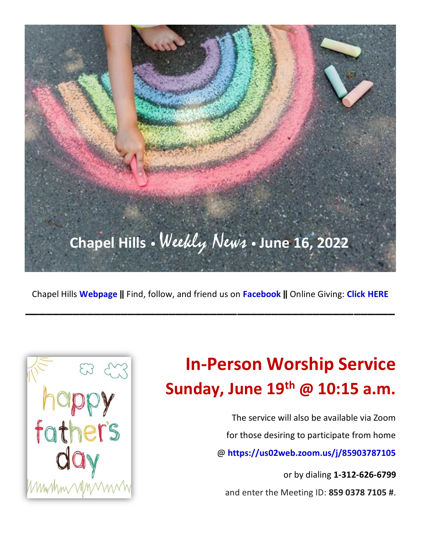

Chapel Hills **[Webpage](http://www.chapelhillsucc.org/) ‖** Find, follow, and friend us on **[Facebook](https://www.facebook.com/pages/Chapel-Hills-United-Church-of-Christ/236277059752010) ‖** Online Giving: **[Click HERE](https://app.easytithe.com/app/giving/chapelhillsuccedina)**

**\_\_\_\_\_\_\_\_\_\_\_\_\_\_\_\_\_\_\_\_\_\_\_\_\_\_\_\_\_\_\_\_\_\_\_\_\_\_\_\_\_\_\_\_\_\_\_\_\_\_\_\_\_\_**



# **In-Person Worship Service Sunday, June 19 th @ 10:15 a.m.**

The service will also be available via Zoom for those desiring to participate from home @ **<https://us02web.zoom.us/j/85903787105>**

or by dialing **1-312-626-6799** and enter the Meeting ID: **859 0378 7105 #**.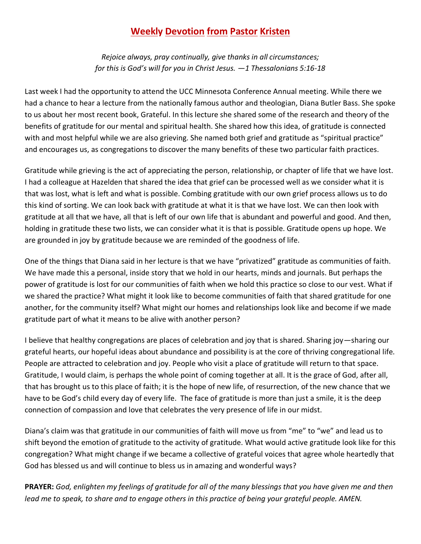#### **Weekly Devotion from Pastor Kristen**

*Rejoice always, pray continually, give thanks in all circumstances; for this is God's will for you in Christ Jesus. ―1 Thessalonians 5:16-18* 

Last week I had the opportunity to attend the UCC Minnesota Conference Annual meeting. While there we had a chance to hear a lecture from the nationally famous author and theologian, Diana Butler Bass. She spoke to us about her most recent book, Grateful. In this lecture she shared some of the research and theory of the benefits of gratitude for our mental and spiritual health. She shared how this idea, of gratitude is connected with and most helpful while we are also grieving. She named both grief and gratitude as "spiritual practice" and encourages us, as congregations to discover the many benefits of these two particular faith practices.

Gratitude while grieving is the act of appreciating the person, relationship, or chapter of life that we have lost. I had a colleague at Hazelden that shared the idea that grief can be processed well as we consider what it is that was lost, what is left and what is possible. Combing gratitude with our own grief process allows us to do this kind of sorting. We can look back with gratitude at what it is that we have lost. We can then look with gratitude at all that we have, all that is left of our own life that is abundant and powerful and good. And then, holding in gratitude these two lists, we can consider what it is that is possible. Gratitude opens up hope. We are grounded in joy by gratitude because we are reminded of the goodness of life.

One of the things that Diana said in her lecture is that we have "privatized" gratitude as communities of faith. We have made this a personal, inside story that we hold in our hearts, minds and journals. But perhaps the power of gratitude is lost for our communities of faith when we hold this practice so close to our vest. What if we shared the practice? What might it look like to become communities of faith that shared gratitude for one another, for the community itself? What might our homes and relationships look like and become if we made gratitude part of what it means to be alive with another person?

I believe that healthy congregations are places of celebration and joy that is shared. Sharing joy—sharing our grateful hearts, our hopeful ideas about abundance and possibility is at the core of thriving congregational life. People are attracted to celebration and joy. People who visit a place of gratitude will return to that space. Gratitude, I would claim, is perhaps the whole point of coming together at all. It is the grace of God, after all, that has brought us to this place of faith; it is the hope of new life, of resurrection, of the new chance that we have to be God's child every day of every life. The face of gratitude is more than just a smile, it is the deep connection of compassion and love that celebrates the very presence of life in our midst.

Diana's claim was that gratitude in our communities of faith will move us from "me" to "we" and lead us to shift beyond the emotion of gratitude to the activity of gratitude. What would active gratitude look like for this congregation? What might change if we became a collective of grateful voices that agree whole heartedly that God has blessed us and will continue to bless us in amazing and wonderful ways?

**PRAYER:** *God, enlighten my feelings of gratitude for all of the many blessings that you have given me and then lead me to speak, to share and to engage others in this practice of being your grateful people. AMEN.*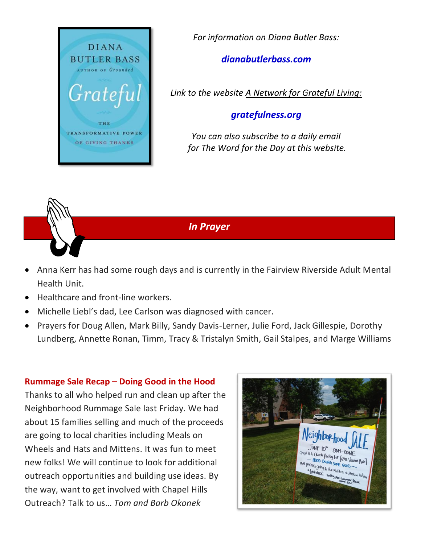

*For information on Diana Butler Bass:* 

#### *dianabutlerbass.com*

*Link to the website A Network for Grateful Living:*

#### *gratefulness.org*

*You can also subscribe to a daily email for The Word for the Day at this website.*

*In Prayer*

- Anna Kerr has had some rough days and is currently in the Fairview Riverside Adult Mental Health Unit.
- Healthcare and front-line workers.
- Michelle Liebl's dad, Lee Carlson was diagnosed with cancer.
- Prayers for Doug Allen, Mark Billy, Sandy Davis-Lerner, Julie Ford, Jack Gillespie, Dorothy Lundberg, Annette Ronan, Timm, Tracy & Tristalyn Smith, Gail Stalpes, and Marge Williams

#### **Rummage Sale Recap – Doing Good in the Hood**

Thanks to all who helped run and clean up after the Neighborhood Rummage Sale last Friday. We had about 15 families selling and much of the proceeds are going to local charities including Meals on Wheels and Hats and Mittens. It was fun to meet new folks! We will continue to look for additional outreach opportunities and building use ideas. By the way, want to get involved with Chapel Hills Outreach? Talk to us… *Tom and Barb Okonek*

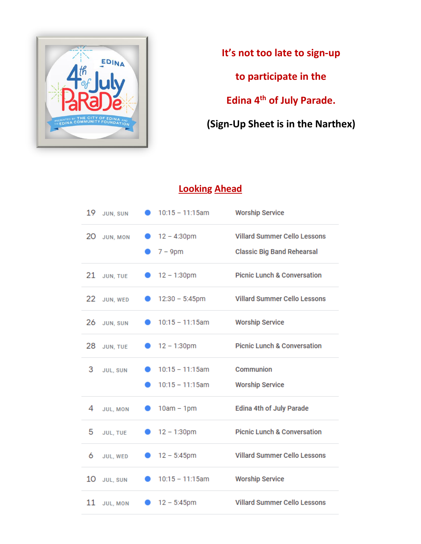

**It's not too late to sign-up to participate in the Edina 4th of July Parade. (Sign-Up Sheet is in the Narthex)**

### **Looking Ahead**

| 19 | JUN, SUN        | $10:15 - 11:15$ am                     | <b>Worship Service</b>                                                   |
|----|-----------------|----------------------------------------|--------------------------------------------------------------------------|
| 20 | JUN, MON        | $12 - 4:30 \text{pm}$<br>$7 - 9$ pm    | <b>Villard Summer Cello Lessons</b><br><b>Classic Big Band Rehearsal</b> |
|    | 21 JUN, TUE     | 12 - 1:30pm                            | <b>Picnic Lunch &amp; Conversation</b>                                   |
|    | 22 JUN, WED     | $12:30 - 5:45$ pm                      | <b>Villard Summer Cello Lessons</b>                                      |
|    | 26 JUN, SUN     | $10:15 - 11:15$ am                     | <b>Worship Service</b>                                                   |
| 28 | JUN, TUE        | $12 - 1:30 \text{pm}$                  | <b>Picnic Lunch &amp; Conversation</b>                                   |
| 3  | <b>JUL, SUN</b> | $10:15 - 11:15am$<br>$10:15 - 11:15am$ | Communion<br><b>Worship Service</b>                                      |
| 4  | JUL, MON        | $\bullet$ 10am – 1pm                   | <b>Edina 4th of July Parade</b>                                          |
| 5  | JUL, TUE        | $12 - 1:30 \text{pm}$                  | <b>Picnic Lunch &amp; Conversation</b>                                   |
| 6  | JUL, WED        | 12 - 5:45pm                            | <b>Villard Summer Cello Lessons</b>                                      |
| 10 | JUL, SUN        | $10:15 - 11:15am$                      | <b>Worship Service</b>                                                   |
|    | 11 JUL, MON     | $12 - 5:45$ pm                         | <b>Villard Summer Cello Lessons</b>                                      |